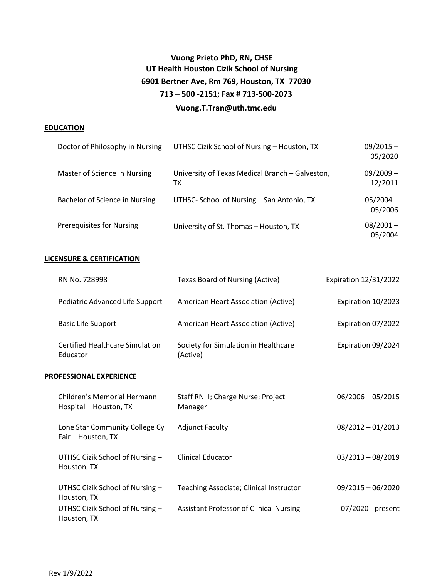# **Vuong Prieto PhD, RN, CHSE UT Health Houston Cizik School of Nursing 6901 Bertner Ave, Rm 769, Houston, TX 77030 713 – 500 -2151; Fax # 713-500-2073 [Vuong.T.Tran@uth.tmc.edu](mailto:Vuong.T.Tran@uth.tmc.edu)**

#### **EDUCATION**

| Doctor of Philosophy in Nursing  | UTHSC Cizik School of Nursing - Houston, TX           | $09/2015 -$<br>05/2020 |
|----------------------------------|-------------------------------------------------------|------------------------|
| Master of Science in Nursing     | University of Texas Medical Branch - Galveston,<br>TХ | $09/2009 -$<br>12/2011 |
| Bachelor of Science in Nursing   | UTHSC- School of Nursing - San Antonio, TX            | $05/2004 -$<br>05/2006 |
| <b>Prerequisites for Nursing</b> | University of St. Thomas - Houston, TX                | $08/2001 -$<br>05/2004 |

# **LICENSURE & CERTIFICATION**

| RN No. 728998                                      | Texas Board of Nursing (Active)                  | <b>Expiration 12/31/2022</b> |
|----------------------------------------------------|--------------------------------------------------|------------------------------|
| Pediatric Advanced Life Support                    | American Heart Association (Active)              | Expiration 10/2023           |
| <b>Basic Life Support</b>                          | American Heart Association (Active)              | Expiration 07/2022           |
| <b>Certified Healthcare Simulation</b><br>Educator | Society for Simulation in Healthcare<br>(Active) | Expiration 09/2024           |
| <b>PROFESSIONAL EXPERIENCE</b>                     |                                                  |                              |

| Children's Memorial Hermann<br>Hospital – Houston, TX | Staff RN II; Charge Nurse; Project<br>Manager  | $06/2006 - 05/2015$ |
|-------------------------------------------------------|------------------------------------------------|---------------------|
| Lone Star Community College Cy<br>Fair - Houston, TX  | <b>Adjunct Faculty</b>                         | $08/2012 - 01/2013$ |
| UTHSC Cizik School of Nursing -<br>Houston, TX        | Clinical Educator                              | $03/2013 - 08/2019$ |
| UTHSC Cizik School of Nursing $-$<br>Houston, TX      | Teaching Associate; Clinical Instructor        | $09/2015 - 06/2020$ |
| UTHSC Cizik School of Nursing -<br>Houston, TX        | <b>Assistant Professor of Clinical Nursing</b> | 07/2020 - present   |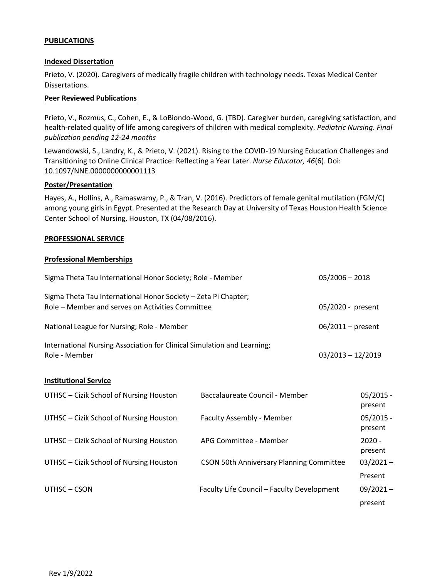# **PUBLICATIONS**

#### **Indexed Dissertation**

Prieto, V. (2020). Caregivers of medically fragile children with technology needs. Texas Medical Center Dissertations.

## **Peer Reviewed Publications**

Prieto, V., Rozmus, C., Cohen, E., & LoBiondo-Wood, G. (TBD). Caregiver burden, caregiving satisfaction, and health-related quality of life among caregivers of children with medical complexity. *Pediatric Nursing*. *Final publication pending 12-24 months*

Lewandowski, S., Landry, K., & Prieto, V. (2021). Rising to the COVID-19 Nursing Education Challenges and Transitioning to Online Clinical Practice: Reflecting a Year Later. *Nurse Educator, 46*(6). Doi: 10.1097/NNE.0000000000001113

## **Poster/Presentation**

Hayes, A., Hollins, A., Ramaswamy, P., & Tran, V. (2016). Predictors of female genital mutilation (FGM/C) among young girls in Egypt. Presented at the Research Day at University of Texas Houston Health Science Center School of Nursing, Houston, TX (04/08/2016).

## **PROFESSIONAL SERVICE**

## **Professional Memberships**

| Sigma Theta Tau International Honor Society; Role - Member                                                         | $05/2006 - 2018$    |
|--------------------------------------------------------------------------------------------------------------------|---------------------|
| Sigma Theta Tau International Honor Society - Zeta Pi Chapter;<br>Role – Member and serves on Activities Committee | 05/2020 - present   |
| National League for Nursing; Role - Member                                                                         | $06/2011$ – present |
| International Nursing Association for Clinical Simulation and Learning;<br>Role - Member                           | $03/2013 - 12/2019$ |

#### **Institutional Service**

| UTHSC - Cizik School of Nursing Houston | Baccalaureate Council - Member                  | $05/2015 -$<br>present |
|-----------------------------------------|-------------------------------------------------|------------------------|
| UTHSC - Cizik School of Nursing Houston | Faculty Assembly - Member                       | $05/2015 -$<br>present |
| UTHSC - Cizik School of Nursing Houston | APG Committee - Member                          | $2020 -$<br>present    |
| UTHSC - Cizik School of Nursing Houston | <b>CSON 50th Anniversary Planning Committee</b> | $03/2021 -$            |
|                                         |                                                 | Present                |
| UTHSC - CSON                            | Faculty Life Council - Faculty Development      | $09/2021 -$            |
|                                         |                                                 | present                |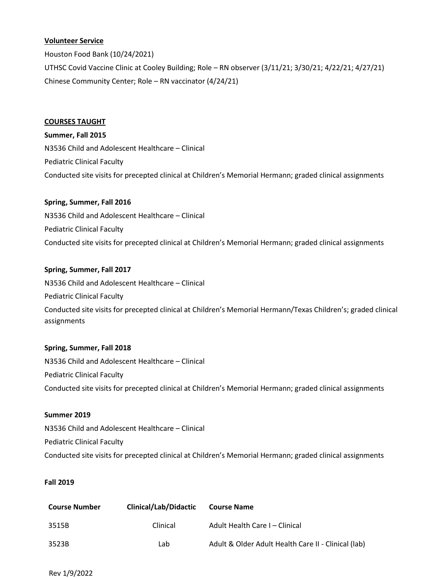# **Volunteer Service**

Houston Food Bank (10/24/2021) UTHSC Covid Vaccine Clinic at Cooley Building; Role – RN observer (3/11/21; 3/30/21; 4/22/21; 4/27/21) Chinese Community Center; Role – RN vaccinator (4/24/21)

## **COURSES TAUGHT**

**Summer, Fall 2015** N3536 Child and Adolescent Healthcare – Clinical Pediatric Clinical Faculty Conducted site visits for precepted clinical at Children's Memorial Hermann; graded clinical assignments

# **Spring, Summer, Fall 2016**

N3536 Child and Adolescent Healthcare – Clinical Pediatric Clinical Faculty Conducted site visits for precepted clinical at Children's Memorial Hermann; graded clinical assignments

# **Spring, Summer, Fall 2017**

N3536 Child and Adolescent Healthcare – Clinical Pediatric Clinical Faculty Conducted site visits for precepted clinical at Children's Memorial Hermann/Texas Children's; graded clinical assignments

# **Spring, Summer, Fall 2018**

N3536 Child and Adolescent Healthcare – Clinical Pediatric Clinical Faculty Conducted site visits for precepted clinical at Children's Memorial Hermann; graded clinical assignments

# **Summer 2019**

N3536 Child and Adolescent Healthcare – Clinical Pediatric Clinical Faculty Conducted site visits for precepted clinical at Children's Memorial Hermann; graded clinical assignments

# **Fall 2019**

| <b>Course Number</b> | <b>Clinical/Lab/Didactic</b> | <b>Course Name</b>                                  |
|----------------------|------------------------------|-----------------------------------------------------|
| 3515B                | Clinical                     | Adult Health Care I – Clinical                      |
| 3523B                | Lab                          | Adult & Older Adult Health Care II - Clinical (lab) |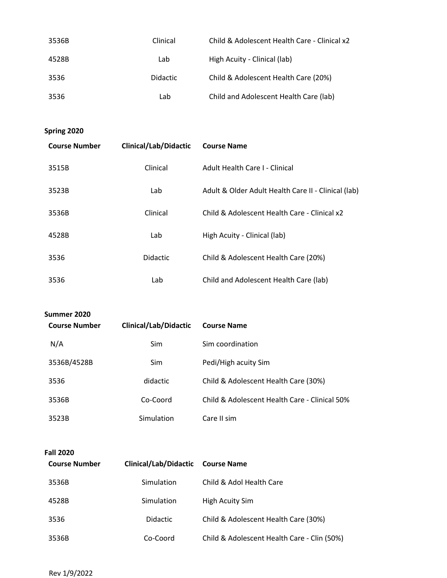| 3536B | Clinical        | Child & Adolescent Health Care - Clinical x2 |
|-------|-----------------|----------------------------------------------|
| 4528B | Lab             | High Acuity - Clinical (lab)                 |
| 3536  | <b>Didactic</b> | Child & Adolescent Health Care (20%)         |
| 3536  | Lab             | Child and Adolescent Health Care (lab)       |

**Spring 2020**

| <b>Course Number</b> | <b>Clinical/Lab/Didactic</b> | <b>Course Name</b>                                  |
|----------------------|------------------------------|-----------------------------------------------------|
| 3515B                | Clinical                     | Adult Health Care L- Clinical                       |
| 3523B                | Lab                          | Adult & Older Adult Health Care II - Clinical (lab) |
| 3536B                | Clinical                     | Child & Adolescent Health Care - Clinical x2        |
| 4528B                | Lab                          | High Acuity - Clinical (lab)                        |
| 3536                 | Didactic                     | Child & Adolescent Health Care (20%)                |
| 3536                 | Lab                          | Child and Adolescent Health Care (lab)              |

| Summer 2020          |                              |                                               |  |
|----------------------|------------------------------|-----------------------------------------------|--|
| <b>Course Number</b> | <b>Clinical/Lab/Didactic</b> | <b>Course Name</b>                            |  |
| N/A                  | Sim.                         | Sim coordination                              |  |
| 3536B/4528B          | <b>Sim</b>                   | Pedi/High acuity Sim                          |  |
| 3536                 | didactic                     | Child & Adolescent Health Care (30%)          |  |
| 3536B                | Co-Coord                     | Child & Adolescent Health Care - Clinical 50% |  |
| 3523B                | Simulation                   | Care II sim                                   |  |

| <b>Fall 2020</b>     |                       |                                             |
|----------------------|-----------------------|---------------------------------------------|
| <b>Course Number</b> | Clinical/Lab/Didactic | <b>Course Name</b>                          |
| 3536B                | Simulation            | Child & Adol Health Care                    |
| 4528B                | Simulation            | High Acuity Sim                             |
| 3536                 | <b>Didactic</b>       | Child & Adolescent Health Care (30%)        |
| 3536B                | Co-Coord              | Child & Adolescent Health Care - Clin (50%) |